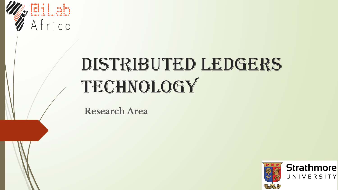

# DISTRIBUTED LEDGERS TECHNOLOGY

**Research Area**

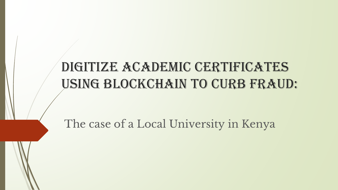# DIGITIZE ACADEMIC CERTIFICATES Using Blockchain to Curb Fraud:

The case of a Local University in Kenya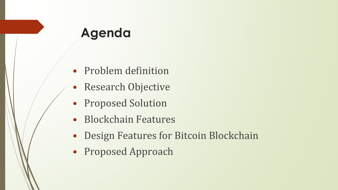### **Agenda**

- Problem definition
- Research Objective
- Proposed Solution
- Blockchain Features
- Design Features for Bitcoin Blockchain
- Proposed Approach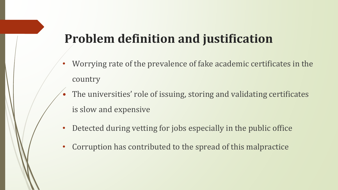# **Problem definition and justification**

- Worrying rate of the prevalence of fake academic certificates in the country
- The universities' role of issuing, storing and validating certificates is slow and expensive
- Detected during vetting for jobs especially in the public office
- Corruption has contributed to the spread of this malpractice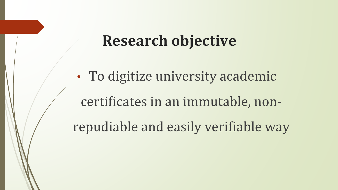# **Research objective**

• To digitize university academic certificates in an immutable, nonrepudiable and easily verifiable way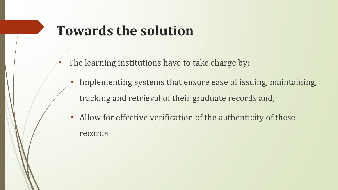# **Towards the solution**

- The learning institutions have to take charge by:
	- Implementing systems that ensure ease of issuing, maintaining, tracking and retrieval of their graduate records and,
	- Allow for effective verification of the authenticity of these records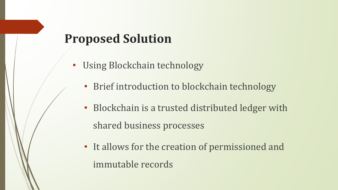#### **Proposed Solution**

- Using Blockchain technology
	- Brief introduction to blockchain technology
	- Blockchain is a trusted distributed ledger with shared business processes
	- It allows for the creation of permissioned and immutable records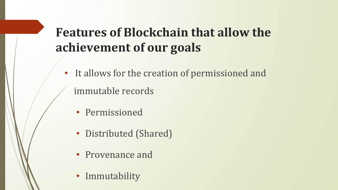# **Features of Blockchain that allow the achievement of our goals**

- It allows for the creation of permissioned and immutable records
	- Permissioned
	- Distributed (Shared)
	- Provenance and
	- Immutability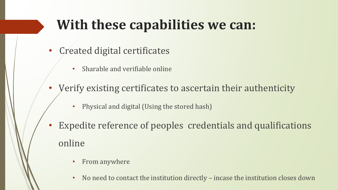# **With these capabilities we can:**

- Created digital certificates
	- Sharable and verifiable online
- Verify existing certificates to ascertain their authenticity
	- Physical and digital (Using the stored hash)
- Expedite reference of peoples credentials and qualifications online
	- From anywhere
	- No need to contact the institution directly incase the institution closes down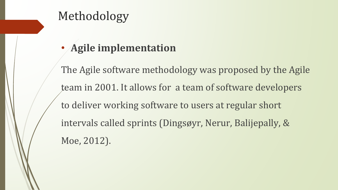#### Methodology

#### • **Agile implementation**

The Agile software methodology was proposed by the Agile team in 2001. It allows for a team of software developers to deliver working software to users at regular short intervals called sprints (Dingsøyr, Nerur, Balijepally, & Moe, 2012).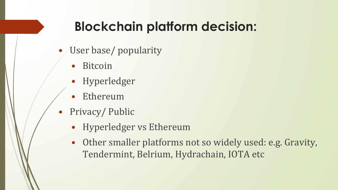# **Blockchain platform decision:**

- User base/ popularity
	- **Bitcoin**
	- Hyperledger
	- **Ethereum**
- Privacy/ Public
	- Hyperledger vs Ethereum
	- Other smaller platforms not so widely used: e.g. Gravity, Tendermint, Belrium, Hydrachain, IOTA etc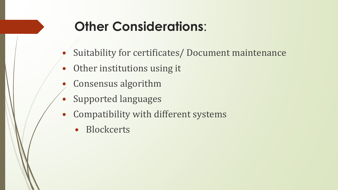# **Other Considerations**:

- Suitability for certificates/ Document maintenance
- Other institutions using it
- Consensus algorithm
- Supported languages
- Compatibility with different systems
	- Blockcerts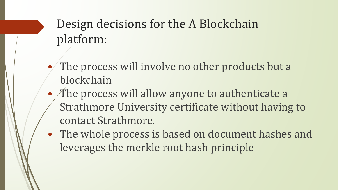# Design decisions for the A Blockchain platform:

- The process will involve no other products but a blockchain
- The process will allow anyone to authenticate a Strathmore University certificate without having to contact Strathmore.
- The whole process is based on document hashes and leverages the merkle root hash principle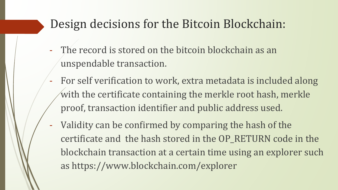#### Design decisions for the Bitcoin Blockchain:

- The record is stored on the bitcoin blockchain as an unspendable transaction.
- For self verification to work, extra metadata is included along with the certificate containing the merkle root hash, merkle proof, transaction identifier and public address used.
- Validity can be confirmed by comparing the hash of the certificate and the hash stored in the OP\_RETURN code in the blockchain transaction at a certain time using an explorer such as https://www.blockchain.com/explorer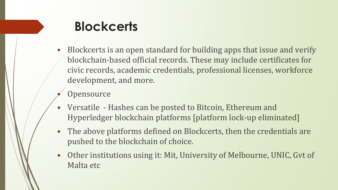

- Blockcerts is an open standard for building apps that issue and verify blockchain-based official records. These may include certificates for civic records, academic credentials, professional licenses, workforce development, and more.
- **Opensource**
- Versatile Hashes can be posted to Bitcoin, Ethereum and Hyperledger blockchain platforms [platform lock-up eliminated]
- The above platforms defined on Blockcerts, then the credentials are pushed to the blockchain of choice.
- Other institutions using it: Mit, University of Melbourne, UNIC, Gvt of Malta etc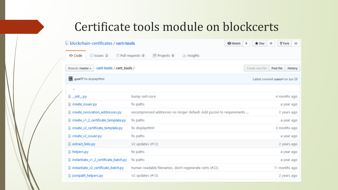#### Certificate tools module on blockcerts

#### Il blockchain-certificates / cert-tools  $\blacksquare$ Y Fork 33 **O** Watch 8 \* Star <> Code (ii) Issues (2) i] Pull requests io **III** Projects o lili, Insights Branch: master + cert-tools / cert\_tools / Create new file Find file **History** gubo77 for displayHtml Latest commit exesse on Jun 28 **B\_init\_py** bump cert-core 4 months ago @ create\_issuer.py fix paths a year ago @ create\_revocation\_addresses.py uncompressed addresses no longer default. Add pycoin to requirements ... 2 years ago @ create\_v1\_2\_certificate\_template.py for paths a year ago. @ create\_v2\_certificate\_template.py fix displayHtml 3 months ago Create\_v2\_issuer.py for paths a year ago extract\_links.py V2 updates (#12) 2 years ago helpers.py fix paths a year ago missantiate\_v1\_2\_certificate\_batch.py fix paths a year ago. instantiate\_v2\_certificate\_batch.py human readable filenames, don't regenerate certs (#22) 11 months ago ig isonpath\_helpers.py V2 updates (#12) 2 years ago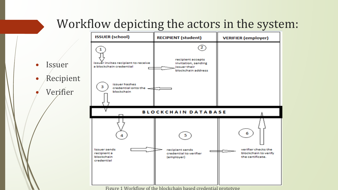

Figure 1 Workflow of the blockchain based credential prototype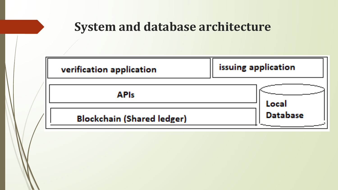#### **System and database architecture**

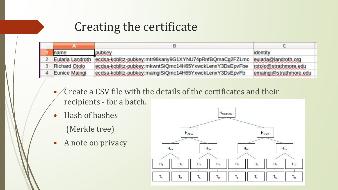#### Creating the certificate

| name             | pubkey                                                  | identity               |  |
|------------------|---------------------------------------------------------|------------------------|--|
| Eularia Landroth | ecdsa-koblitz-pubkey:mtr98kany9G1XYNU74pRnfBQmaCg2FZLmc | eularia@landroth.org   |  |
| Richard Otolo    | ecdsa-koblitz-pubkey:mkwntSiQmc14H65YxwckLenxY3DsEpvFbe | rotolo@strathmore.edu  |  |
| Eunice Maingi    | ecdsa-koblitz-pubkey:maingiSiQmc14H65YxwckLenxY3DsEpvFb | emaingi@strathmore.edu |  |
|                  |                                                         |                        |  |

- Create a CSV file with the details of the certificates and their recipients - for a batch.
- Hash of hashes
	- (Merkle tree)
- A note on privacy

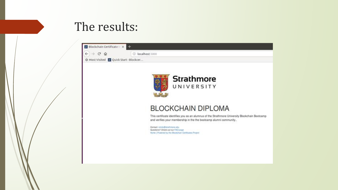#### The results:

| $\leftarrow$<br>$\epsilon$<br>and a<br>$\Omega$ | <b>C</b> localhost: 5000                                                                                                                                            |
|-------------------------------------------------|---------------------------------------------------------------------------------------------------------------------------------------------------------------------|
| ☆ Most Visited ■ Quick Start - Blockcer         |                                                                                                                                                                     |
|                                                 |                                                                                                                                                                     |
|                                                 | <b>Strathmore</b>                                                                                                                                                   |
|                                                 | UNIVERSITY                                                                                                                                                          |
|                                                 |                                                                                                                                                                     |
|                                                 | <b>BLOCKCHAIN DIPLOMA</b>                                                                                                                                           |
|                                                 | This certificate identifies you as an alumnus of the Strathmore University Blockchain Bootcamp<br>and verifies your membership in the the bootcamp alumni community |
|                                                 | Contact: rotolo@strathmore.edu<br>Questions? Check out our FAQ page<br>Home   Powered by the Blockchain Certificates Project                                        |
|                                                 |                                                                                                                                                                     |
|                                                 |                                                                                                                                                                     |
|                                                 |                                                                                                                                                                     |
|                                                 |                                                                                                                                                                     |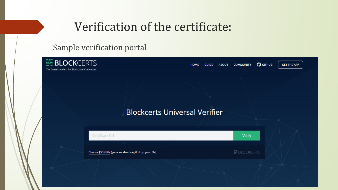#### Verification of the certificate:

#### Sample verification portal

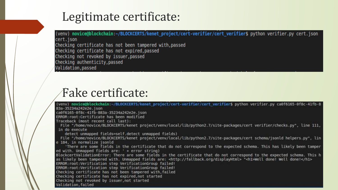#### Legitimate certificate:

(venv) novice@blockchain:~/BLOCKCERTS/kenet\_project/cert-verifier/cert\_verifier\$ python verifier.py cert.json cert.json Checking certificate has not been tampered with, passed Checking certificate has not expired, passed Checking not revoked by issuer, passed Checking authenticity, passed Validation, passed

### Fake certificate:

(venv) novice@blockchain:-/BLOCKCERTS/kenet project/cert-verifier/cert verifier\$ python verifier.py ca0f6165-0f8c-41fb-8 83a-35234a242e2e.json ca0f6165-0f8c-41fb-883a-35234a242e2e.json ERROR: root:Certificate has been modified Traceback (most recent call last): File "/home/novice/BLOCKCERTS/kenet project/venv/local/lib/python2.7/site-packages/cert verifier/checks.py", line 111, in do execute detect unmapped fields=self.detect unmapped fields) File "/home/novice/BLOCKCERTS/kenet project/venv/local/lib/python2.7/site-packages/cert schema/jsonld helpers.py", lin e 184, in normalize jsonld 'There are some fields in the certificate that do not correspond to the expected schema. This has likely been tamper ed with. Unmapped fields are: ' + error string) BlockcertValidationError: There are some fields in the certificate that do not correspond to the expected schema. This h as likely been tampered with. Unmapped fields are: <http://fallback.org/displayHtml> "<h1>Well done! Well done!</h1> ERROR: root:Verification step VerificationGroup failed! ERROR: root:Verification step VerificationGroup failed! Checking certificate has not been tampered with, failed Checking certificate has not expired, not started Checking not revoked by issuer, not started Validation, failed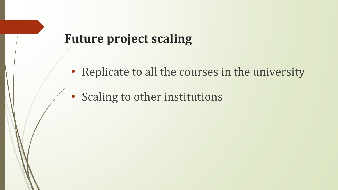#### **Future project scaling**

- Replicate to all the courses in the university
- Scaling to other institutions